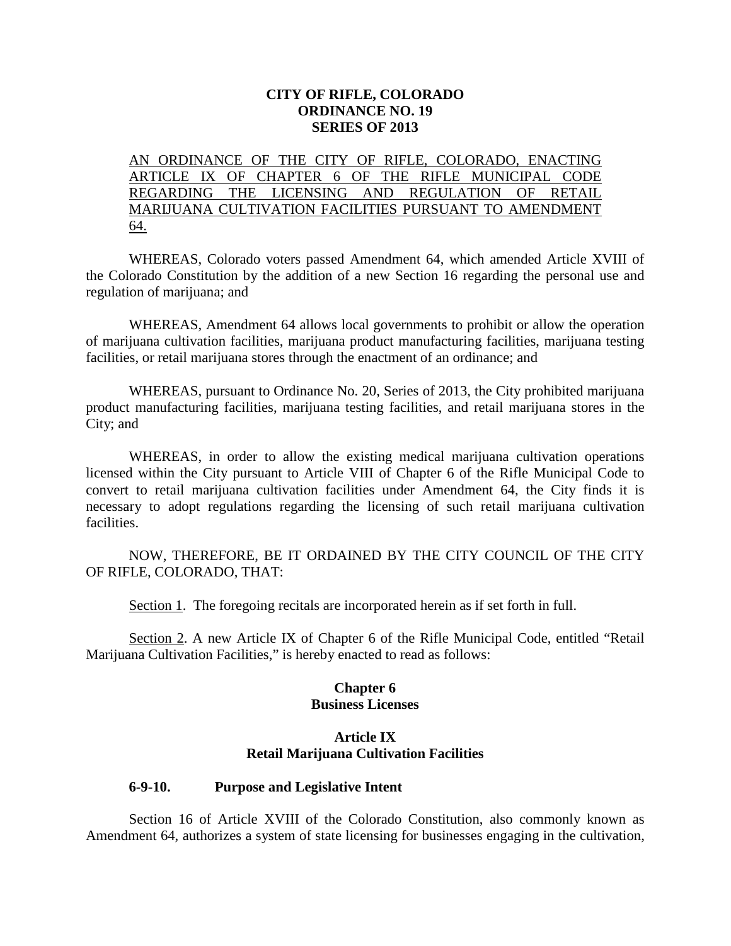### **CITY OF RIFLE, COLORADO ORDINANCE NO. 19 SERIES OF 2013**

AN ORDINANCE OF THE CITY OF RIFLE, COLORADO, ENACTING ARTICLE IX OF CHAPTER 6 OF THE RIFLE MUNICIPAL CODE REGARDING THE LICENSING AND REGULATION OF RETAIL MARIJUANA CULTIVATION FACILITIES PURSUANT TO AMENDMENT 64.

WHEREAS, Colorado voters passed Amendment 64, which amended Article XVIII of the Colorado Constitution by the addition of a new Section 16 regarding the personal use and regulation of marijuana; and

WHEREAS, Amendment 64 allows local governments to prohibit or allow the operation of marijuana cultivation facilities, marijuana product manufacturing facilities, marijuana testing facilities, or retail marijuana stores through the enactment of an ordinance; and

WHEREAS, pursuant to Ordinance No. 20, Series of 2013, the City prohibited marijuana product manufacturing facilities, marijuana testing facilities, and retail marijuana stores in the City; and

WHEREAS, in order to allow the existing medical marijuana cultivation operations licensed within the City pursuant to Article VIII of Chapter 6 of the Rifle Municipal Code to convert to retail marijuana cultivation facilities under Amendment 64, the City finds it is necessary to adopt regulations regarding the licensing of such retail marijuana cultivation facilities.

NOW, THEREFORE, BE IT ORDAINED BY THE CITY COUNCIL OF THE CITY OF RIFLE, COLORADO, THAT:

Section 1. The foregoing recitals are incorporated herein as if set forth in full.

Section 2. A new Article IX of Chapter 6 of the Rifle Municipal Code, entitled "Retail Marijuana Cultivation Facilities," is hereby enacted to read as follows:

### **Chapter 6 Business Licenses**

### **Article IX Retail Marijuana Cultivation Facilities**

#### **6-9-10. Purpose and Legislative Intent**

Section 16 of Article XVIII of the Colorado Constitution, also commonly known as Amendment 64, authorizes a system of state licensing for businesses engaging in the cultivation,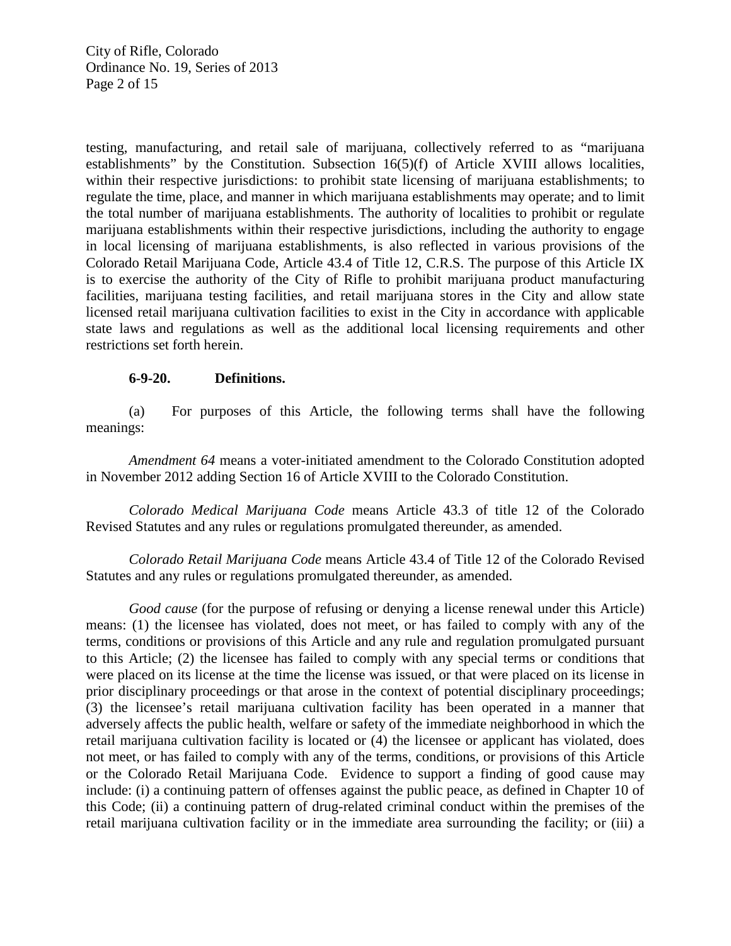City of Rifle, Colorado Ordinance No. 19, Series of 2013 Page 2 of 15

testing, manufacturing, and retail sale of marijuana, collectively referred to as "marijuana establishments" by the Constitution. Subsection 16(5)(f) of Article XVIII allows localities, within their respective jurisdictions: to prohibit state licensing of marijuana establishments; to regulate the time, place, and manner in which marijuana establishments may operate; and to limit the total number of marijuana establishments. The authority of localities to prohibit or regulate marijuana establishments within their respective jurisdictions, including the authority to engage in local licensing of marijuana establishments, is also reflected in various provisions of the Colorado Retail Marijuana Code, Article 43.4 of Title 12, C.R.S. The purpose of this Article IX is to exercise the authority of the City of Rifle to prohibit marijuana product manufacturing facilities, marijuana testing facilities, and retail marijuana stores in the City and allow state licensed retail marijuana cultivation facilities to exist in the City in accordance with applicable state laws and regulations as well as the additional local licensing requirements and other restrictions set forth herein.

#### **6-9-20. Definitions.**

(a) For purposes of this Article, the following terms shall have the following meanings:

*Amendment 64* means a voter-initiated amendment to the Colorado Constitution adopted in November 2012 adding Section 16 of Article XVIII to the Colorado Constitution.

*Colorado Medical Marijuana Code* means Article 43.3 of title 12 of the Colorado Revised Statutes and any rules or regulations promulgated thereunder, as amended.

*Colorado Retail Marijuana Code* means Article 43.4 of Title 12 of the Colorado Revised Statutes and any rules or regulations promulgated thereunder, as amended.

*Good cause* (for the purpose of refusing or denying a license renewal under this Article) means: (1) the licensee has violated, does not meet, or has failed to comply with any of the terms, conditions or provisions of this Article and any rule and regulation promulgated pursuant to this Article; (2) the licensee has failed to comply with any special terms or conditions that were placed on its license at the time the license was issued, or that were placed on its license in prior disciplinary proceedings or that arose in the context of potential disciplinary proceedings; (3) the licensee's retail marijuana cultivation facility has been operated in a manner that adversely affects the public health, welfare or safety of the immediate neighborhood in which the retail marijuana cultivation facility is located or (4) the licensee or applicant has violated, does not meet, or has failed to comply with any of the terms, conditions, or provisions of this Article or the Colorado Retail Marijuana Code. Evidence to support a finding of good cause may include: (i) a continuing pattern of offenses against the public peace, as defined in Chapter 10 of this Code; (ii) a continuing pattern of drug-related criminal conduct within the premises of the retail marijuana cultivation facility or in the immediate area surrounding the facility; or (iii) a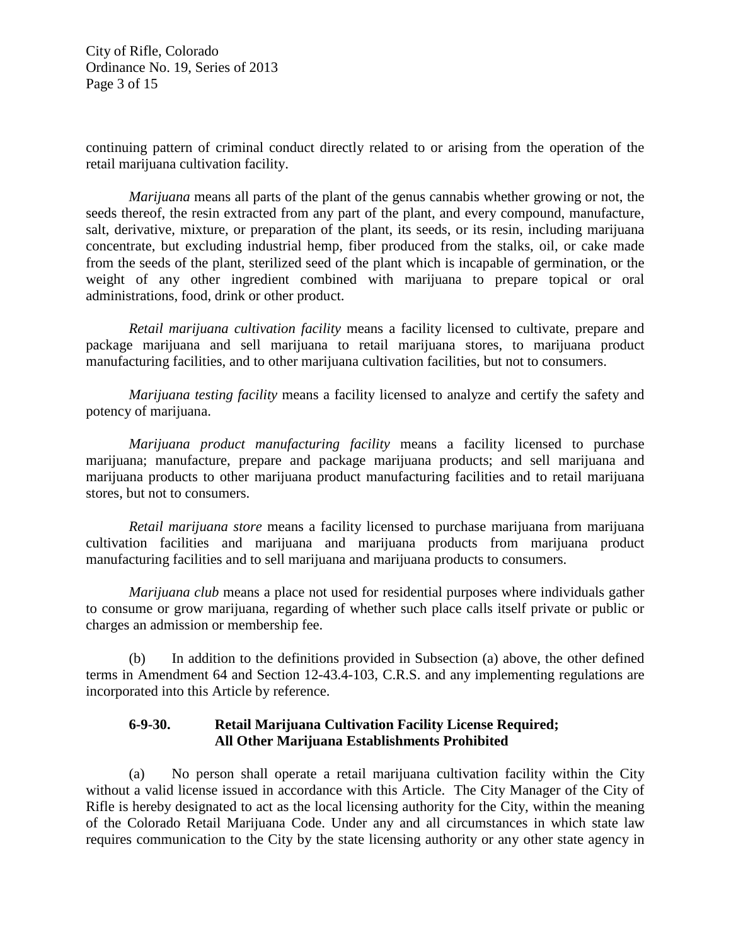City of Rifle, Colorado Ordinance No. 19, Series of 2013 Page 3 of 15

continuing pattern of criminal conduct directly related to or arising from the operation of the retail marijuana cultivation facility.

*Marijuana* means all parts of the plant of the genus cannabis whether growing or not, the seeds thereof, the resin extracted from any part of the plant, and every compound, manufacture, salt, derivative, mixture, or preparation of the plant, its seeds, or its resin, including marijuana concentrate, but excluding industrial hemp, fiber produced from the stalks, oil, or cake made from the seeds of the plant, sterilized seed of the plant which is incapable of germination, or the weight of any other ingredient combined with marijuana to prepare topical or oral administrations, food, drink or other product.

*Retail marijuana cultivation facility* means a facility licensed to cultivate, prepare and package marijuana and sell marijuana to retail marijuana stores, to marijuana product manufacturing facilities, and to other marijuana cultivation facilities, but not to consumers.

*Marijuana testing facility* means a facility licensed to analyze and certify the safety and potency of marijuana.

*Marijuana product manufacturing facility* means a facility licensed to purchase marijuana; manufacture, prepare and package marijuana products; and sell marijuana and marijuana products to other marijuana product manufacturing facilities and to retail marijuana stores, but not to consumers.

*Retail marijuana store* means a facility licensed to purchase marijuana from marijuana cultivation facilities and marijuana and marijuana products from marijuana product manufacturing facilities and to sell marijuana and marijuana products to consumers.

*Marijuana club* means a place not used for residential purposes where individuals gather to consume or grow marijuana, regarding of whether such place calls itself private or public or charges an admission or membership fee.

(b) In addition to the definitions provided in Subsection (a) above, the other defined terms in Amendment 64 and Section 12-43.4-103, C.R.S. and any implementing regulations are incorporated into this Article by reference.

### **6-9-30. Retail Marijuana Cultivation Facility License Required; All Other Marijuana Establishments Prohibited**

(a) No person shall operate a retail marijuana cultivation facility within the City without a valid license issued in accordance with this Article. The City Manager of the City of Rifle is hereby designated to act as the local licensing authority for the City, within the meaning of the Colorado Retail Marijuana Code. Under any and all circumstances in which state law requires communication to the City by the state licensing authority or any other state agency in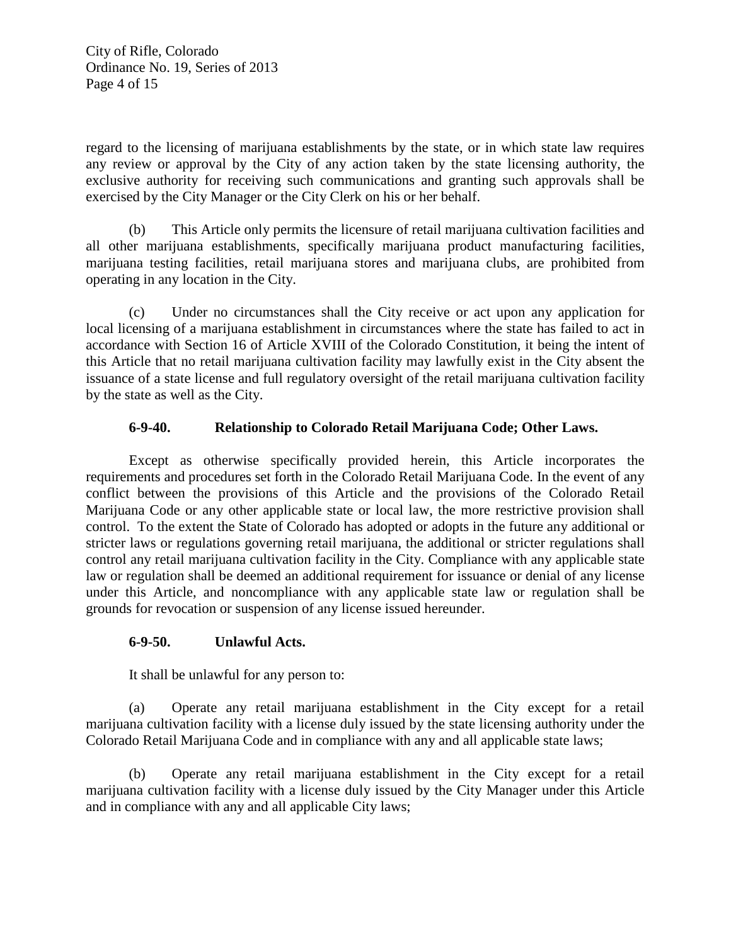City of Rifle, Colorado Ordinance No. 19, Series of 2013 Page 4 of 15

regard to the licensing of marijuana establishments by the state, or in which state law requires any review or approval by the City of any action taken by the state licensing authority, the exclusive authority for receiving such communications and granting such approvals shall be exercised by the City Manager or the City Clerk on his or her behalf.

(b) This Article only permits the licensure of retail marijuana cultivation facilities and all other marijuana establishments, specifically marijuana product manufacturing facilities, marijuana testing facilities, retail marijuana stores and marijuana clubs, are prohibited from operating in any location in the City.

(c) Under no circumstances shall the City receive or act upon any application for local licensing of a marijuana establishment in circumstances where the state has failed to act in accordance with Section 16 of Article XVIII of the Colorado Constitution, it being the intent of this Article that no retail marijuana cultivation facility may lawfully exist in the City absent the issuance of a state license and full regulatory oversight of the retail marijuana cultivation facility by the state as well as the City.

# **6-9-40. Relationship to Colorado Retail Marijuana Code; Other Laws.**

Except as otherwise specifically provided herein, this Article incorporates the requirements and procedures set forth in the Colorado Retail Marijuana Code. In the event of any conflict between the provisions of this Article and the provisions of the Colorado Retail Marijuana Code or any other applicable state or local law, the more restrictive provision shall control. To the extent the State of Colorado has adopted or adopts in the future any additional or stricter laws or regulations governing retail marijuana, the additional or stricter regulations shall control any retail marijuana cultivation facility in the City. Compliance with any applicable state law or regulation shall be deemed an additional requirement for issuance or denial of any license under this Article, and noncompliance with any applicable state law or regulation shall be grounds for revocation or suspension of any license issued hereunder.

# **6-9-50. Unlawful Acts.**

It shall be unlawful for any person to:

(a) Operate any retail marijuana establishment in the City except for a retail marijuana cultivation facility with a license duly issued by the state licensing authority under the Colorado Retail Marijuana Code and in compliance with any and all applicable state laws;

(b) Operate any retail marijuana establishment in the City except for a retail marijuana cultivation facility with a license duly issued by the City Manager under this Article and in compliance with any and all applicable City laws;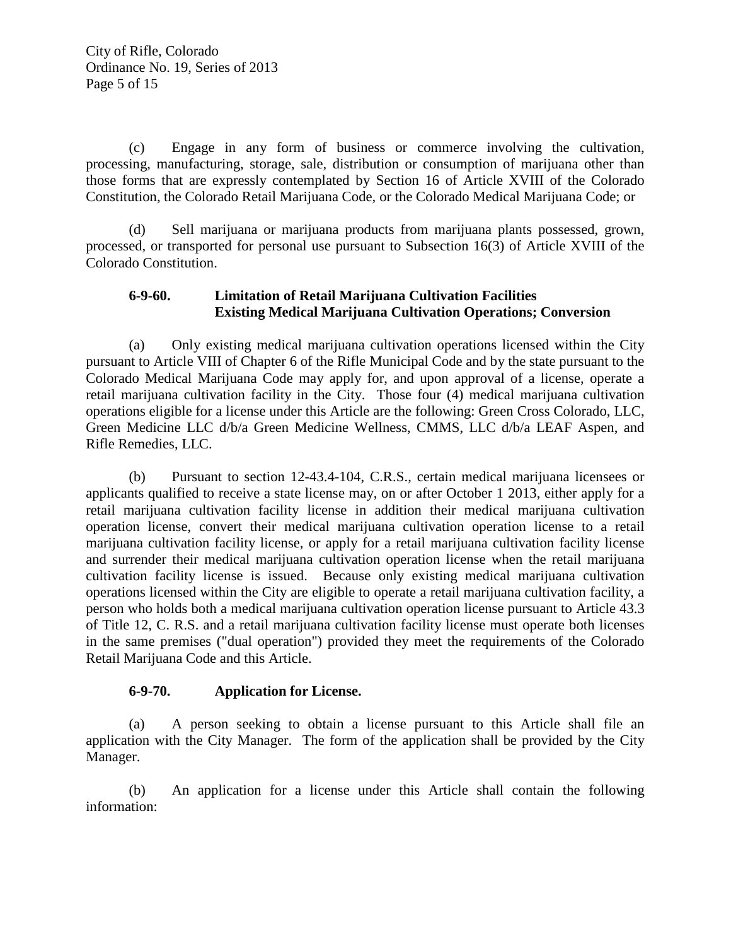(c) Engage in any form of business or commerce involving the cultivation, processing, manufacturing, storage, sale, distribution or consumption of marijuana other than those forms that are expressly contemplated by Section 16 of Article XVIII of the Colorado Constitution, the Colorado Retail Marijuana Code, or the Colorado Medical Marijuana Code; or

(d) Sell marijuana or marijuana products from marijuana plants possessed, grown, processed, or transported for personal use pursuant to Subsection 16(3) of Article XVIII of the Colorado Constitution.

# **6-9-60. Limitation of Retail Marijuana Cultivation Facilities Existing Medical Marijuana Cultivation Operations; Conversion**

(a) Only existing medical marijuana cultivation operations licensed within the City pursuant to Article VIII of Chapter 6 of the Rifle Municipal Code and by the state pursuant to the Colorado Medical Marijuana Code may apply for, and upon approval of a license, operate a retail marijuana cultivation facility in the City. Those four (4) medical marijuana cultivation operations eligible for a license under this Article are the following: Green Cross Colorado, LLC, Green Medicine LLC d/b/a Green Medicine Wellness, CMMS, LLC d/b/a LEAF Aspen, and Rifle Remedies, LLC.

(b) Pursuant to section 12-43.4-104, C.R.S., certain medical marijuana licensees or applicants qualified to receive a state license may, on or after October 1 2013, either apply for a retail marijuana cultivation facility license in addition their medical marijuana cultivation operation license, convert their medical marijuana cultivation operation license to a retail marijuana cultivation facility license, or apply for a retail marijuana cultivation facility license and surrender their medical marijuana cultivation operation license when the retail marijuana cultivation facility license is issued. Because only existing medical marijuana cultivation operations licensed within the City are eligible to operate a retail marijuana cultivation facility, a person who holds both a medical marijuana cultivation operation license pursuant to Article 43.3 of Title 12, C. R.S. and a retail marijuana cultivation facility license must operate both licenses in the same premises ("dual operation") provided they meet the requirements of the Colorado Retail Marijuana Code and this Article.

# **6-9-70. Application for License.**

(a) A person seeking to obtain a license pursuant to this Article shall file an application with the City Manager. The form of the application shall be provided by the City Manager.

(b) An application for a license under this Article shall contain the following information: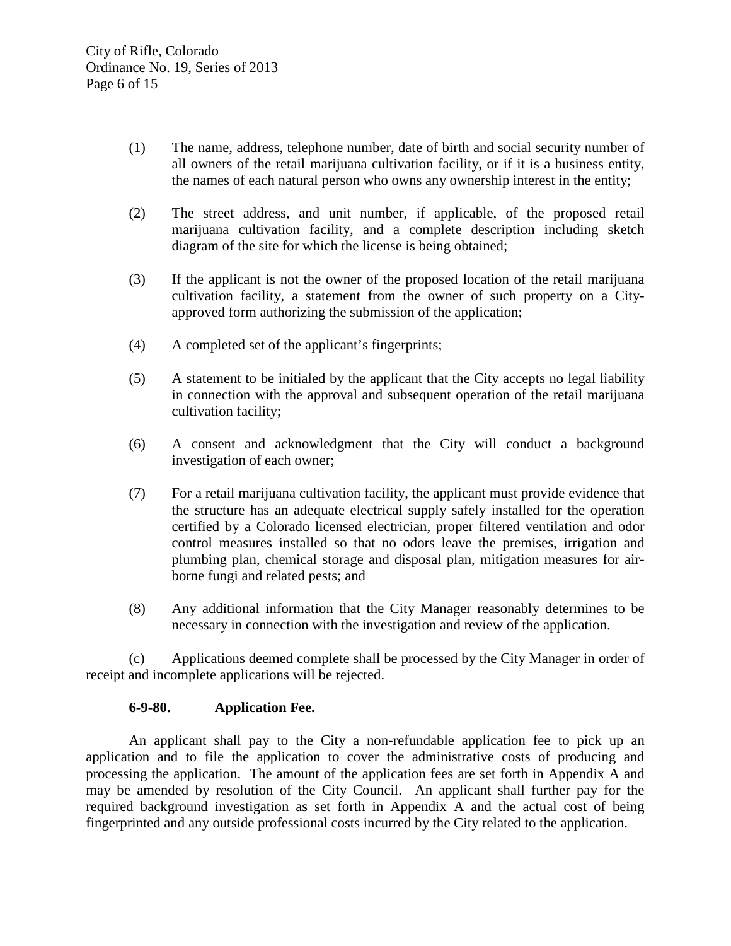- (1) The name, address, telephone number, date of birth and social security number of all owners of the retail marijuana cultivation facility, or if it is a business entity, the names of each natural person who owns any ownership interest in the entity;
- (2) The street address, and unit number, if applicable, of the proposed retail marijuana cultivation facility, and a complete description including sketch diagram of the site for which the license is being obtained;
- (3) If the applicant is not the owner of the proposed location of the retail marijuana cultivation facility, a statement from the owner of such property on a Cityapproved form authorizing the submission of the application;
- (4) A completed set of the applicant's fingerprints;
- (5) A statement to be initialed by the applicant that the City accepts no legal liability in connection with the approval and subsequent operation of the retail marijuana cultivation facility;
- (6) A consent and acknowledgment that the City will conduct a background investigation of each owner;
- (7) For a retail marijuana cultivation facility, the applicant must provide evidence that the structure has an adequate electrical supply safely installed for the operation certified by a Colorado licensed electrician, proper filtered ventilation and odor control measures installed so that no odors leave the premises, irrigation and plumbing plan, chemical storage and disposal plan, mitigation measures for airborne fungi and related pests; and
- (8) Any additional information that the City Manager reasonably determines to be necessary in connection with the investigation and review of the application.

(c) Applications deemed complete shall be processed by the City Manager in order of receipt and incomplete applications will be rejected.

### **6-9-80. Application Fee.**

An applicant shall pay to the City a non-refundable application fee to pick up an application and to file the application to cover the administrative costs of producing and processing the application. The amount of the application fees are set forth in Appendix A and may be amended by resolution of the City Council. An applicant shall further pay for the required background investigation as set forth in Appendix A and the actual cost of being fingerprinted and any outside professional costs incurred by the City related to the application.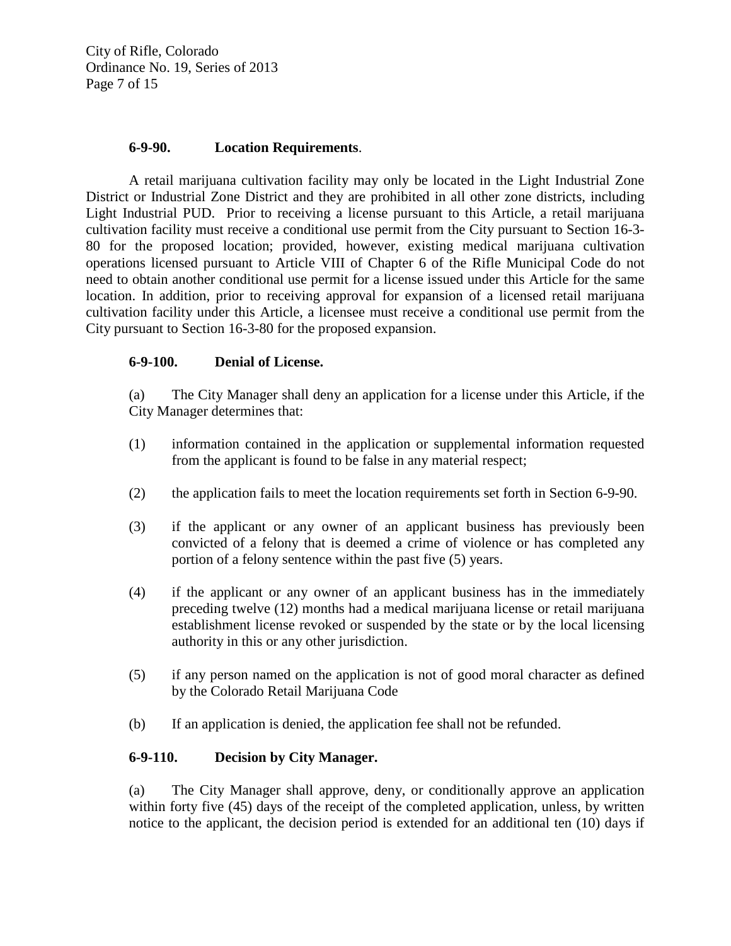City of Rifle, Colorado Ordinance No. 19, Series of 2013 Page 7 of 15

### **6-9-90. Location Requirements**.

A retail marijuana cultivation facility may only be located in the Light Industrial Zone District or Industrial Zone District and they are prohibited in all other zone districts, including Light Industrial PUD. Prior to receiving a license pursuant to this Article, a retail marijuana cultivation facility must receive a conditional use permit from the City pursuant to Section 16-3- 80 for the proposed location; provided, however, existing medical marijuana cultivation operations licensed pursuant to Article VIII of Chapter 6 of the Rifle Municipal Code do not need to obtain another conditional use permit for a license issued under this Article for the same location. In addition, prior to receiving approval for expansion of a licensed retail marijuana cultivation facility under this Article, a licensee must receive a conditional use permit from the City pursuant to Section 16-3-80 for the proposed expansion.

### **6-9-100. Denial of License.**

(a) The City Manager shall deny an application for a license under this Article, if the City Manager determines that:

- (1) information contained in the application or supplemental information requested from the applicant is found to be false in any material respect;
- (2) the application fails to meet the location requirements set forth in Section 6-9-90.
- (3) if the applicant or any owner of an applicant business has previously been convicted of a felony that is deemed a crime of violence or has completed any portion of a felony sentence within the past five (5) years.
- (4) if the applicant or any owner of an applicant business has in the immediately preceding twelve (12) months had a medical marijuana license or retail marijuana establishment license revoked or suspended by the state or by the local licensing authority in this or any other jurisdiction.
- (5) if any person named on the application is not of good moral character as defined by the Colorado Retail Marijuana Code
- (b) If an application is denied, the application fee shall not be refunded.

# **6-9-110. Decision by City Manager.**

(a) The City Manager shall approve, deny, or conditionally approve an application within forty five (45) days of the receipt of the completed application, unless, by written notice to the applicant, the decision period is extended for an additional ten (10) days if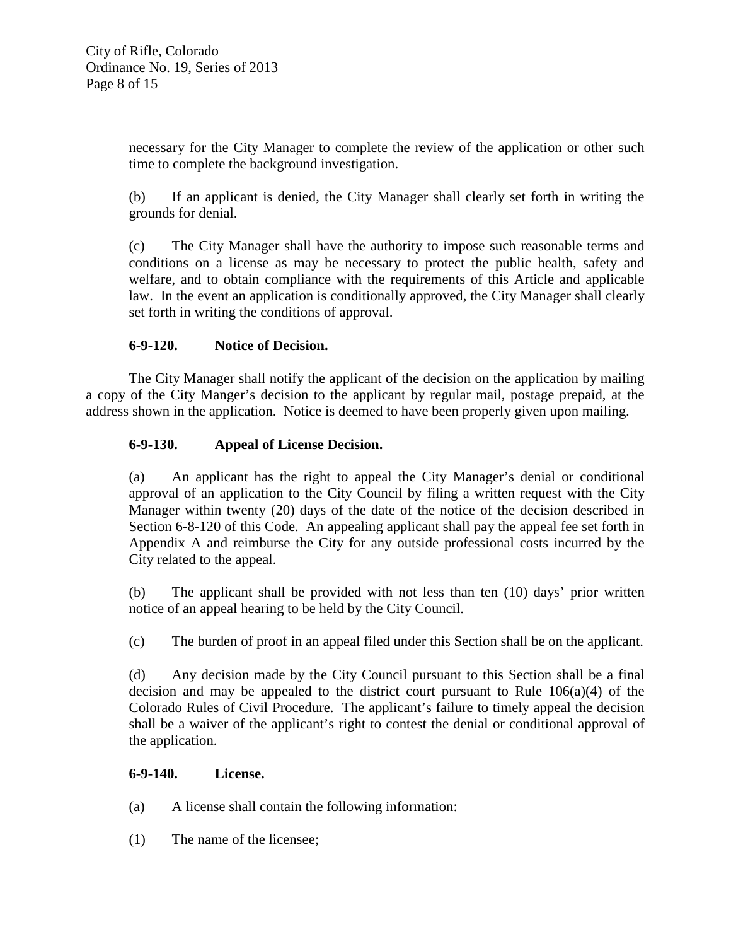necessary for the City Manager to complete the review of the application or other such time to complete the background investigation.

(b) If an applicant is denied, the City Manager shall clearly set forth in writing the grounds for denial.

(c) The City Manager shall have the authority to impose such reasonable terms and conditions on a license as may be necessary to protect the public health, safety and welfare, and to obtain compliance with the requirements of this Article and applicable law. In the event an application is conditionally approved, the City Manager shall clearly set forth in writing the conditions of approval.

# **6-9-120. Notice of Decision.**

The City Manager shall notify the applicant of the decision on the application by mailing a copy of the City Manger's decision to the applicant by regular mail, postage prepaid, at the address shown in the application. Notice is deemed to have been properly given upon mailing.

## **6-9-130. Appeal of License Decision.**

(a) An applicant has the right to appeal the City Manager's denial or conditional approval of an application to the City Council by filing a written request with the City Manager within twenty (20) days of the date of the notice of the decision described in Section 6-8-120 of this Code. An appealing applicant shall pay the appeal fee set forth in Appendix A and reimburse the City for any outside professional costs incurred by the City related to the appeal.

(b) The applicant shall be provided with not less than ten (10) days' prior written notice of an appeal hearing to be held by the City Council.

(c) The burden of proof in an appeal filed under this Section shall be on the applicant.

(d) Any decision made by the City Council pursuant to this Section shall be a final decision and may be appealed to the district court pursuant to Rule  $106(a)(4)$  of the Colorado Rules of Civil Procedure. The applicant's failure to timely appeal the decision shall be a waiver of the applicant's right to contest the denial or conditional approval of the application.

### **6-9-140. License.**

- (a) A license shall contain the following information:
- (1) The name of the licensee;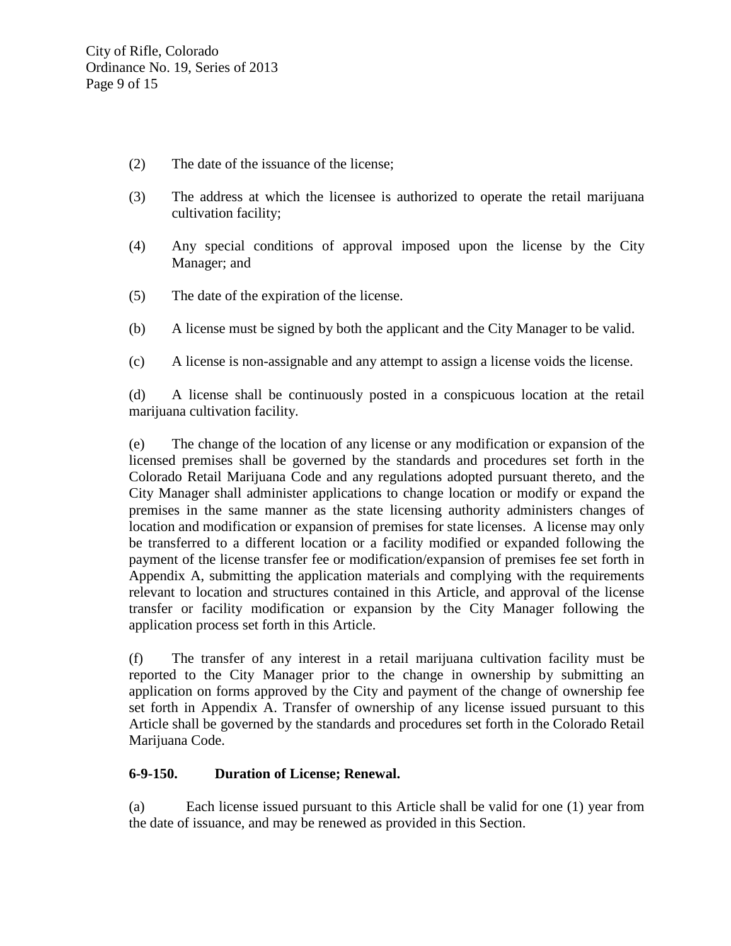- (2) The date of the issuance of the license;
- (3) The address at which the licensee is authorized to operate the retail marijuana cultivation facility;
- (4) Any special conditions of approval imposed upon the license by the City Manager; and
- (5) The date of the expiration of the license.
- (b) A license must be signed by both the applicant and the City Manager to be valid.
- (c) A license is non-assignable and any attempt to assign a license voids the license.

(d) A license shall be continuously posted in a conspicuous location at the retail marijuana cultivation facility.

(e) The change of the location of any license or any modification or expansion of the licensed premises shall be governed by the standards and procedures set forth in the Colorado Retail Marijuana Code and any regulations adopted pursuant thereto, and the City Manager shall administer applications to change location or modify or expand the premises in the same manner as the state licensing authority administers changes of location and modification or expansion of premises for state licenses. A license may only be transferred to a different location or a facility modified or expanded following the payment of the license transfer fee or modification/expansion of premises fee set forth in Appendix A, submitting the application materials and complying with the requirements relevant to location and structures contained in this Article, and approval of the license transfer or facility modification or expansion by the City Manager following the application process set forth in this Article.

(f) The transfer of any interest in a retail marijuana cultivation facility must be reported to the City Manager prior to the change in ownership by submitting an application on forms approved by the City and payment of the change of ownership fee set forth in Appendix A. Transfer of ownership of any license issued pursuant to this Article shall be governed by the standards and procedures set forth in the Colorado Retail Marijuana Code.

# **6-9-150. Duration of License; Renewal.**

(a) Each license issued pursuant to this Article shall be valid for one (1) year from the date of issuance, and may be renewed as provided in this Section.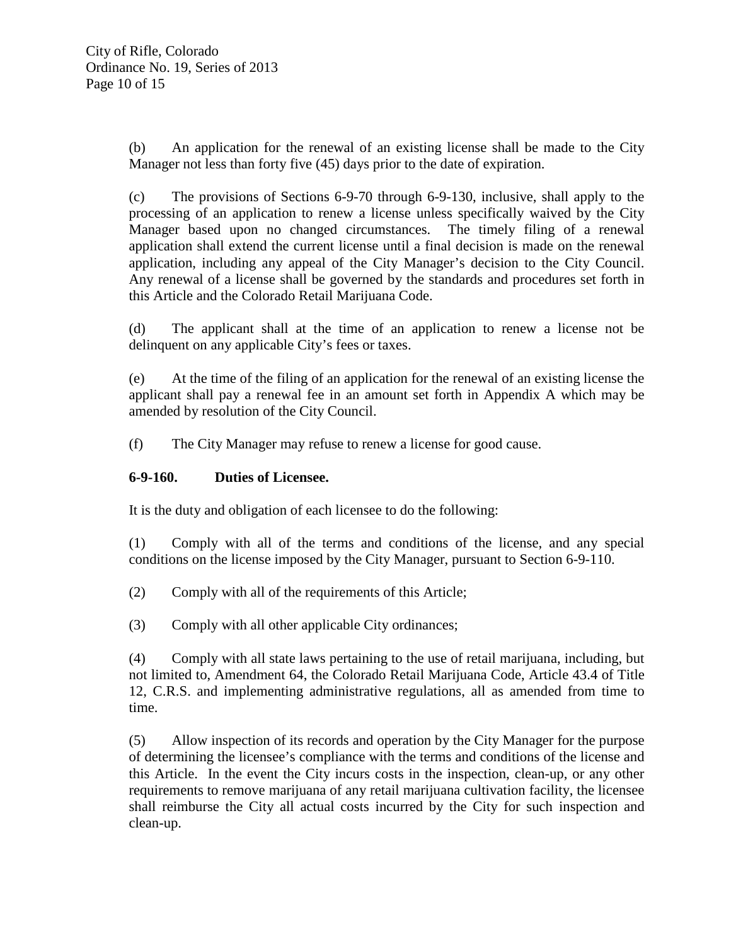(b) An application for the renewal of an existing license shall be made to the City Manager not less than forty five (45) days prior to the date of expiration.

(c) The provisions of Sections 6-9-70 through 6-9-130, inclusive, shall apply to the processing of an application to renew a license unless specifically waived by the City Manager based upon no changed circumstances. The timely filing of a renewal application shall extend the current license until a final decision is made on the renewal application, including any appeal of the City Manager's decision to the City Council. Any renewal of a license shall be governed by the standards and procedures set forth in this Article and the Colorado Retail Marijuana Code.

(d) The applicant shall at the time of an application to renew a license not be delinquent on any applicable City's fees or taxes.

(e) At the time of the filing of an application for the renewal of an existing license the applicant shall pay a renewal fee in an amount set forth in Appendix A which may be amended by resolution of the City Council.

(f) The City Manager may refuse to renew a license for good cause.

# **6-9-160. Duties of Licensee.**

It is the duty and obligation of each licensee to do the following:

(1) Comply with all of the terms and conditions of the license, and any special conditions on the license imposed by the City Manager, pursuant to Section 6-9-110.

- (2) Comply with all of the requirements of this Article;
- (3) Comply with all other applicable City ordinances;

(4) Comply with all state laws pertaining to the use of retail marijuana, including, but not limited to, Amendment 64, the Colorado Retail Marijuana Code, Article 43.4 of Title 12, C.R.S. and implementing administrative regulations, all as amended from time to time.

(5) Allow inspection of its records and operation by the City Manager for the purpose of determining the licensee's compliance with the terms and conditions of the license and this Article. In the event the City incurs costs in the inspection, clean-up, or any other requirements to remove marijuana of any retail marijuana cultivation facility, the licensee shall reimburse the City all actual costs incurred by the City for such inspection and clean-up.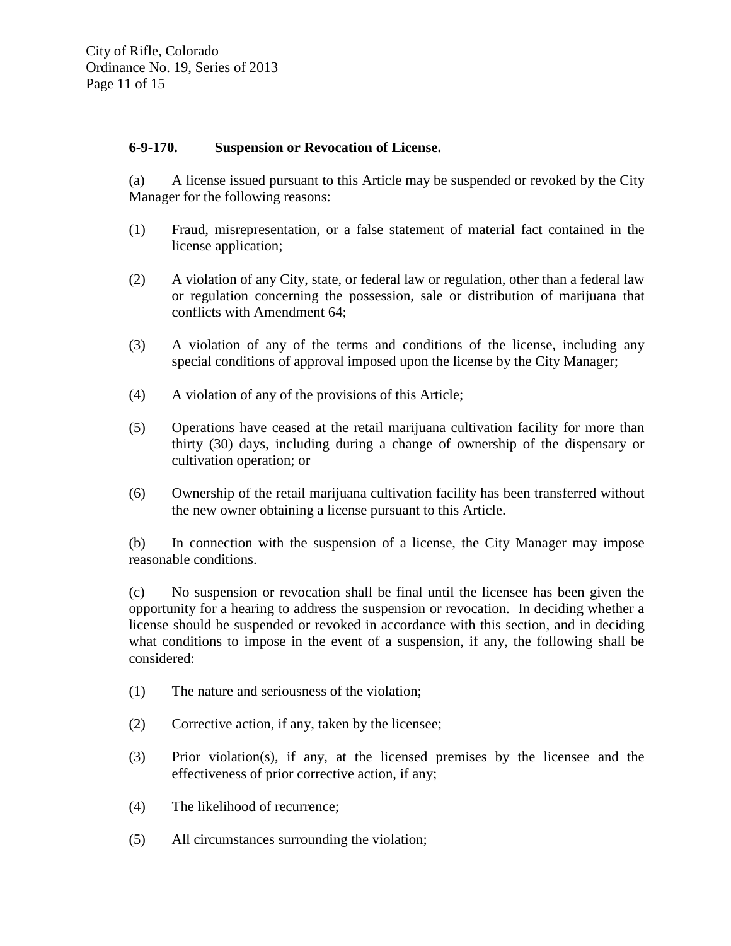## **6-9-170. Suspension or Revocation of License.**

(a) A license issued pursuant to this Article may be suspended or revoked by the City Manager for the following reasons:

- (1) Fraud, misrepresentation, or a false statement of material fact contained in the license application;
- (2) A violation of any City, state, or federal law or regulation, other than a federal law or regulation concerning the possession, sale or distribution of marijuana that conflicts with Amendment 64;
- (3) A violation of any of the terms and conditions of the license, including any special conditions of approval imposed upon the license by the City Manager;
- (4) A violation of any of the provisions of this Article;
- (5) Operations have ceased at the retail marijuana cultivation facility for more than thirty (30) days, including during a change of ownership of the dispensary or cultivation operation; or
- (6) Ownership of the retail marijuana cultivation facility has been transferred without the new owner obtaining a license pursuant to this Article.

(b) In connection with the suspension of a license, the City Manager may impose reasonable conditions.

(c) No suspension or revocation shall be final until the licensee has been given the opportunity for a hearing to address the suspension or revocation. In deciding whether a license should be suspended or revoked in accordance with this section, and in deciding what conditions to impose in the event of a suspension, if any, the following shall be considered:

- (1) The nature and seriousness of the violation;
- (2) Corrective action, if any, taken by the licensee;
- (3) Prior violation(s), if any, at the licensed premises by the licensee and the effectiveness of prior corrective action, if any;
- (4) The likelihood of recurrence;
- (5) All circumstances surrounding the violation;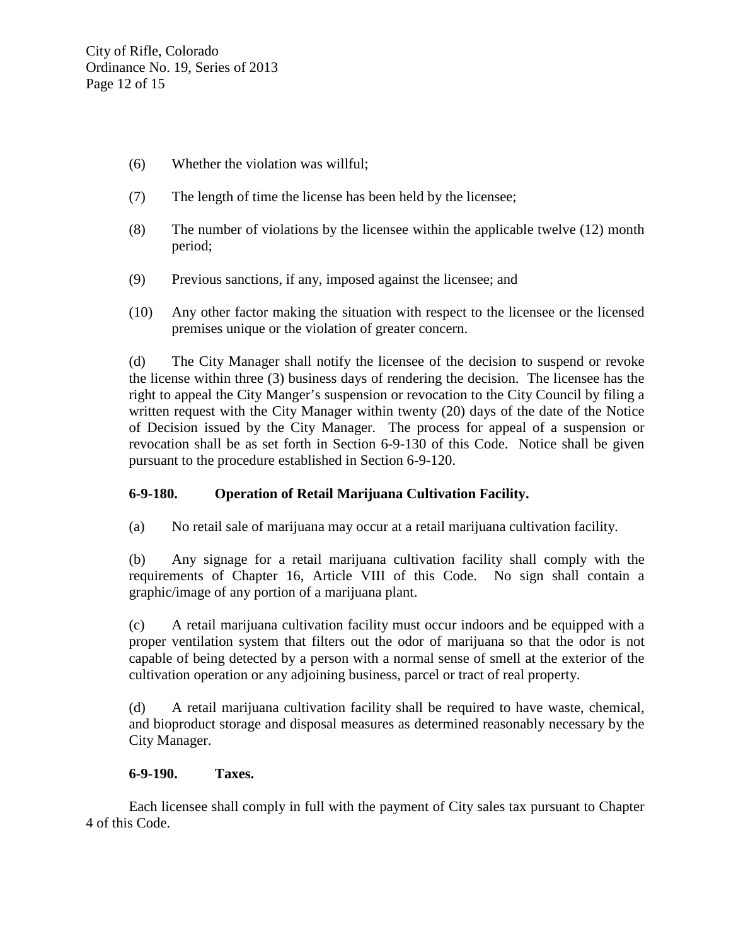- (6) Whether the violation was willful;
- (7) The length of time the license has been held by the licensee;
- (8) The number of violations by the licensee within the applicable twelve (12) month period;
- (9) Previous sanctions, if any, imposed against the licensee; and
- (10) Any other factor making the situation with respect to the licensee or the licensed premises unique or the violation of greater concern.

(d) The City Manager shall notify the licensee of the decision to suspend or revoke the license within three (3) business days of rendering the decision. The licensee has the right to appeal the City Manger's suspension or revocation to the City Council by filing a written request with the City Manager within twenty (20) days of the date of the Notice of Decision issued by the City Manager. The process for appeal of a suspension or revocation shall be as set forth in Section 6-9-130 of this Code. Notice shall be given pursuant to the procedure established in Section 6-9-120.

# **6-9-180. Operation of Retail Marijuana Cultivation Facility.**

(a) No retail sale of marijuana may occur at a retail marijuana cultivation facility.

(b) Any signage for a retail marijuana cultivation facility shall comply with the requirements of Chapter 16, Article VIII of this Code. No sign shall contain a graphic/image of any portion of a marijuana plant.

(c) A retail marijuana cultivation facility must occur indoors and be equipped with a proper ventilation system that filters out the odor of marijuana so that the odor is not capable of being detected by a person with a normal sense of smell at the exterior of the cultivation operation or any adjoining business, parcel or tract of real property.

(d) A retail marijuana cultivation facility shall be required to have waste, chemical, and bioproduct storage and disposal measures as determined reasonably necessary by the City Manager.

### **6-9-190. Taxes.**

Each licensee shall comply in full with the payment of City sales tax pursuant to Chapter 4 of this Code.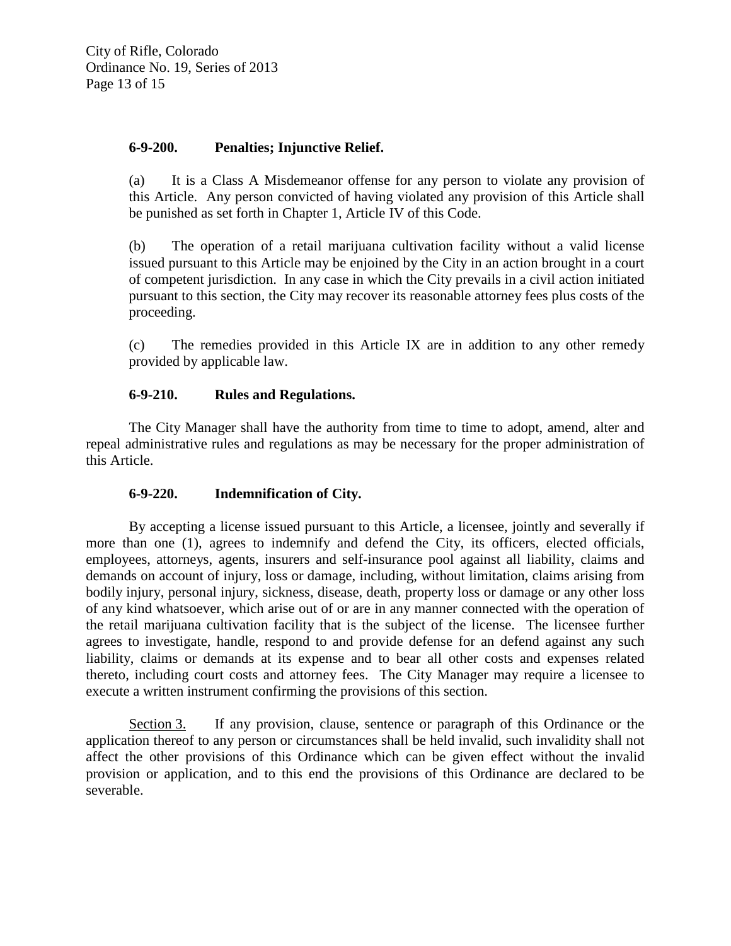# **6-9-200. Penalties; Injunctive Relief.**

(a) It is a Class A Misdemeanor offense for any person to violate any provision of this Article. Any person convicted of having violated any provision of this Article shall be punished as set forth in Chapter 1, Article IV of this Code.

(b) The operation of a retail marijuana cultivation facility without a valid license issued pursuant to this Article may be enjoined by the City in an action brought in a court of competent jurisdiction. In any case in which the City prevails in a civil action initiated pursuant to this section, the City may recover its reasonable attorney fees plus costs of the proceeding.

(c) The remedies provided in this Article IX are in addition to any other remedy provided by applicable law.

### **6-9-210. Rules and Regulations.**

The City Manager shall have the authority from time to time to adopt, amend, alter and repeal administrative rules and regulations as may be necessary for the proper administration of this Article.

### **6-9-220. Indemnification of City.**

By accepting a license issued pursuant to this Article, a licensee, jointly and severally if more than one (1), agrees to indemnify and defend the City, its officers, elected officials, employees, attorneys, agents, insurers and self-insurance pool against all liability, claims and demands on account of injury, loss or damage, including, without limitation, claims arising from bodily injury, personal injury, sickness, disease, death, property loss or damage or any other loss of any kind whatsoever, which arise out of or are in any manner connected with the operation of the retail marijuana cultivation facility that is the subject of the license. The licensee further agrees to investigate, handle, respond to and provide defense for an defend against any such liability, claims or demands at its expense and to bear all other costs and expenses related thereto, including court costs and attorney fees. The City Manager may require a licensee to execute a written instrument confirming the provisions of this section.

Section 3. If any provision, clause, sentence or paragraph of this Ordinance or the application thereof to any person or circumstances shall be held invalid, such invalidity shall not affect the other provisions of this Ordinance which can be given effect without the invalid provision or application, and to this end the provisions of this Ordinance are declared to be severable.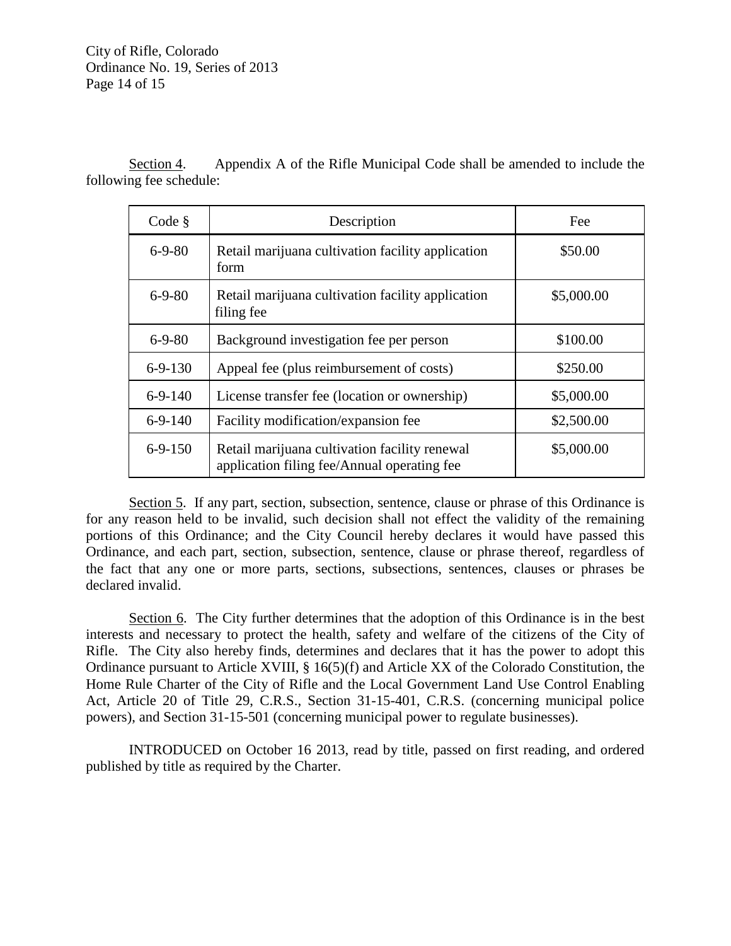City of Rifle, Colorado Ordinance No. 19, Series of 2013 Page 14 of 15

Section 4. Appendix A of the Rifle Municipal Code shall be amended to include the following fee schedule:

| Code §        | Description                                                                                  | Fee        |
|---------------|----------------------------------------------------------------------------------------------|------------|
| $6 - 9 - 80$  | Retail marijuana cultivation facility application<br>form                                    | \$50.00    |
| $6 - 9 - 80$  | Retail marijuana cultivation facility application<br>filing fee                              | \$5,000.00 |
| $6 - 9 - 80$  | Background investigation fee per person                                                      | \$100.00   |
| $6 - 9 - 130$ | Appeal fee (plus reimbursement of costs)                                                     | \$250.00   |
| $6-9-140$     | License transfer fee (location or ownership)                                                 | \$5,000.00 |
| $6-9-140$     | Facility modification/expansion fee                                                          | \$2,500.00 |
| $6-9-150$     | Retail marijuana cultivation facility renewal<br>application filing fee/Annual operating fee | \$5,000.00 |

Section 5. If any part, section, subsection, sentence, clause or phrase of this Ordinance is for any reason held to be invalid, such decision shall not effect the validity of the remaining portions of this Ordinance; and the City Council hereby declares it would have passed this Ordinance, and each part, section, subsection, sentence, clause or phrase thereof, regardless of the fact that any one or more parts, sections, subsections, sentences, clauses or phrases be declared invalid.

Section 6. The City further determines that the adoption of this Ordinance is in the best interests and necessary to protect the health, safety and welfare of the citizens of the City of Rifle. The City also hereby finds, determines and declares that it has the power to adopt this Ordinance pursuant to Article XVIII, § 16(5)(f) and Article XX of the Colorado Constitution, the Home Rule Charter of the City of Rifle and the Local Government Land Use Control Enabling Act, Article 20 of Title 29, C.R.S., Section 31-15-401, C.R.S. (concerning municipal police powers), and Section 31-15-501 (concerning municipal power to regulate businesses).

INTRODUCED on October 16 2013, read by title, passed on first reading, and ordered published by title as required by the Charter.